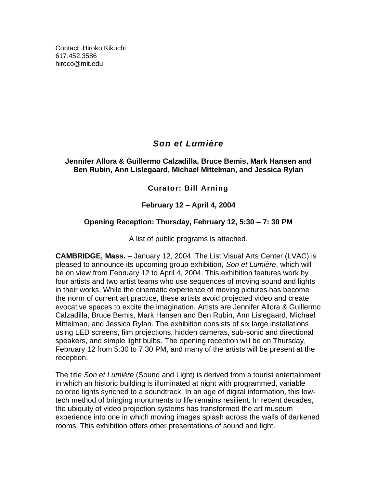Contact: Hiroko Kikuchi [617.452.3586](tel:6174523586) [hiroco@mit.edu](mailto:hiroco@mit.edu)

# *Son et Lumière*

#### **Jennifer Allora & Guillermo Calzadilla, Bruce Bemis, Mark Hansen and Ben Rubin, Ann Lislegaard, Michael Mittelman, and Jessica Rylan**

## **Curator: Bill Arning**

## **February 12 – April 4, 2004**

## **Opening Reception: Thursday, February 12, 5:30 – 7: 30 PM**

A list of public programs is attached.

**CAMBRIDGE, Mass.** – January 12, 2004. The List Visual Arts Center (LVAC) is pleased to announce its upcoming group exhibition, *Son et Lumière*, which will be on view from February 12 to April 4, 2004. This exhibition features work by four artists and two artist teams who use sequences of moving sound and lights in their works. While the cinematic experience of moving pictures has become the norm of current art practice, these artists avoid projected video and create evocative spaces to excite the imagination. Artists are Jennifer Allora & Guillermo Calzadilla, Bruce Bemis, Mark Hansen and Ben Rubin, Ann Lislegaard, Michael Mittelman, and Jessica Rylan. The exhibition consists of six large installations using LED screens, film projections, hidden cameras, sub-sonic and directional speakers, and simple light bulbs. The opening reception will be on Thursday, February 12 from 5:30 to 7:30 PM, and many of the artists will be present at the reception.

The title *Son et Lumière* (Sound and Light) is derived from a tourist entertainment in which an historic building is illuminated at night with programmed, variable colored lights synched to a soundtrack. In an age of digital information, this lowtech method of bringing monuments to life remains resilient. In recent decades, the ubiquity of video projection systems has transformed the art museum experience into one in which moving images splash across the walls of darkened rooms. This exhibition offers other presentations of sound and light.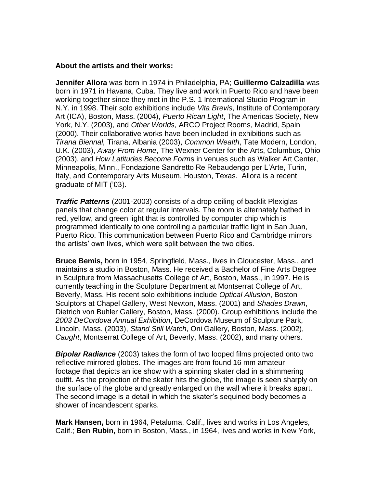#### **About the artists and their works:**

**Jennifer Allora** was born in 1974 in Philadelphia, PA; **Guillermo Calzadilla** was born in 1971 in Havana, Cuba. They live and work in Puerto Rico and have been working together since they met in the P.S. 1 International Studio Program in N.Y. in 1998. Their solo exhibitions include *Vita Brevis*, Institute of Contemporary Art (ICA), Boston, Mass. (2004), *Puerto Rican Light*, The Americas Society, New York, N.Y. (2003), and *Other Worlds,* ARCO Project Rooms, Madrid, Spain (2000). Their collaborative works have been included in exhibitions such as *Tirana Biennal,* Tirana, Albania (2003), *Common Wealth*, Tate Modern, London, U.K. (2003), *Away From Home*, The Wexner Center for the Arts, Columbus, Ohio (2003), and *How Latitudes Become Form*s in venues such as Walker Art Center, Minneapolis, Minn., Fondazione Sandretto Re Rebaudengo per L'Arte, Turin, Italy, and Contemporary Arts Museum, Houston, Texas. Allora is a recent graduate of MIT ('03).

*Traffic Patterns* (2001-2003) consists of a drop ceiling of backlit Plexiglas panels that change color at regular intervals. The room is alternately bathed in red, yellow, and green light that is controlled by computer chip which is programmed identically to one controlling a particular traffic light in San Juan, Puerto Rico. This communication between Puerto Rico and Cambridge mirrors the artists' own lives, which were split between the two cities.

**Bruce Bemis,** born in 1954, Springfield, Mass., lives in Gloucester, Mass., and maintains a studio in Boston, Mass. He received a Bachelor of Fine Arts Degree in Sculpture from Massachusetts College of Art, Boston, Mass., in 1997. He is currently teaching in the Sculpture Department at Montserrat College of Art, Beverly, Mass. His recent solo exhibitions include *Optical Allusion*, Boston Sculptors at Chapel Gallery, West Newton, Mass. (2001) and *Shades Drawn*, Dietrich von Buhler Gallery, Boston, Mass. (2000). Group exhibitions include the *2003 DeCordova Annual Exhibition*, DeCordova Museum of Sculpture Park, Lincoln, Mass. (2003), *Stand Still Watch*, Oni Gallery, Boston, Mass. (2002), *Caught*, Montserrat College of Art, Beverly, Mass. (2002), and many others.

*Bipolar Radiance* (2003) takes the form of two looped films projected onto two reflective mirrored globes. The images are from found 16 mm amateur footage that depicts an ice show with a spinning skater clad in a shimmering outfit. As the projection of the skater hits the globe, the image is seen sharply on the surface of the globe and greatly enlarged on the wall where it breaks apart. The second image is a detail in which the skater's sequined body becomes a shower of incandescent sparks.

**Mark Hansen,** born in 1964, Petaluma, Calif., lives and works in Los Angeles, Calif.; **Ben Rubin,** born in Boston, Mass., in 1964, lives and works in New York,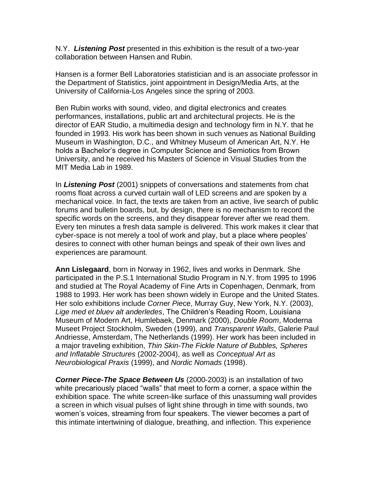N.Y. *Listening Post* presented in this exhibition is the result of a two-year collaboration between Hansen and Rubin.

Hansen is a former Bell Laboratories statistician and is an associate professor in the Department of Statistics, joint appointment in Design/Media Arts, at the University of California-Los Angeles since the spring of 2003.

Ben Rubin works with sound, video, and digital electronics and creates performances, installations, public art and architectural projects. He is the director of EAR Studio, a multimedia design and technology firm in N.Y. that he founded in 1993. His work has been shown in such venues as National Building Museum in Washington, D.C., and Whitney Museum of American Art, N.Y. He holds a Bachelor's degree in Computer Science and Semiotics from Brown University, and he received his Masters of Science in Visual Studies from the MIT Media Lab in 1989.

In *Listening Post* (2001) snippets of conversations and statements from chat rooms float across a curved curtain wall of LED screens and are spoken by a mechanical voice. In fact, the texts are taken from an active, live search of public forums and bulletin boards, but, by design, there is no mechanism to record the specific words on the screens, and they disappear forever after we read them. Every ten minutes a fresh data sample is delivered. This work makes it clear that cyber-space is not merely a tool of work and play, but a place where peoples' desires to connect with other human beings and speak of their own lives and experiences are paramount.

**Ann Lislegaard**, born in Norway in 1962, lives and works in Denmark. She participated in the P.S.1 International Studio Program in N.Y. from 1995 to 1996 and studied at The Royal Academy of Fine Arts in Copenhagen, Denmark, from 1988 to 1993. Her work has been shown widely in Europe and the United States. Her solo exhibitions include *Corner Pie*ce, Murray Guy, New York, N.Y. (2003), *Lige med et bluev alt anderledes*, The Children's Reading Room, Louisiana Museum of Modern Art, Humlebaek, Denmark (2000), *Double Room*, Moderna Museet Project Stockholm, Sweden (1999), and *Transparent Walls*, Galerie Paul Andriesse, Amsterdam, The Netherlands (1999). Her work has been included in a major traveling exhibition, *Thin Skin-The Fickle Nature of Bubbles, Spheres and Inflatable Structures* (2002-2004), as well as *Conceptual Art as Neurobiological Praxis* (1999), and *Nordic Nomads* (1998).

*Corner Piece-The Space Between Us* (2000-2003) is an installation of two white precariously placed "walls" that meet to form a corner, a space within the exhibition space. The white screen-like surface of this unassuming wall provides a screen in which visual pulses of light shine through in time with sounds, two women's voices, streaming from four speakers. The viewer becomes a part of this intimate intertwining of dialogue, breathing, and inflection. This experience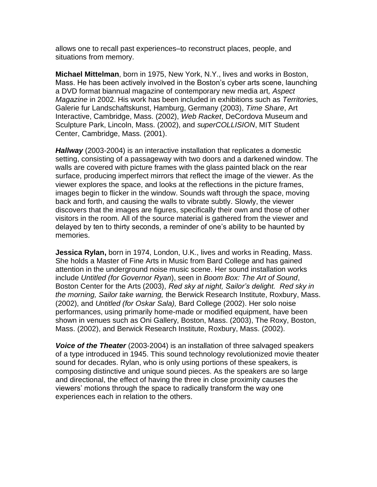allows one to recall past experiences–to reconstruct places, people, and situations from memory.

**Michael Mittelman**, born in 1975, New York, N.Y., lives and works in Boston, Mass. He has been actively involved in the Boston's cyber arts scene, launching a DVD format biannual magazine of contemporary new media art*, Aspect Magazine* in 2002. His work has been included in exhibitions such as *Territorie*s, Galerie fur Landschaftskunst, Hamburg, Germany (2003), *Time Share*, Art Interactive, Cambridge, Mass. (2002), *Web Racket*, DeCordova Museum and Sculpture Park, Lincoln, Mass. (2002), and *superCOLLISION*, MIT Student Center, Cambridge, Mass. (2001).

*Hallway* (2003-2004) is an interactive installation that replicates a domestic setting, consisting of a passageway with two doors and a darkened window. The walls are covered with picture frames with the glass painted black on the rear surface, producing imperfect mirrors that reflect the image of the viewer. As the viewer explores the space, and looks at the reflections in the picture frames, images begin to flicker in the window. Sounds waft through the space, moving back and forth, and causing the walls to vibrate subtly. Slowly, the viewer discovers that the images are figures, specifically their own and those of other visitors in the room. All of the source material is gathered from the viewer and delayed by ten to thirty seconds, a reminder of one's ability to be haunted by memories.

**Jessica Rylan,** born in 1974, London, U.K., lives and works in Reading, Mass. She holds a Master of Fine Arts in Music from Bard College and has gained attention in the underground noise music scene. Her sound installation works include *Untitled (for Governor Ryan*), seen in *Boom Box: The Art of Sound*, Boston Center for the Arts (2003), *Red sky at night, Sailor's delight. Red sky in the morning, Sailor take warning,* the Berwick Research Institute, Roxbury, Mass. (2002), and *Untitled (for Oskar Sala),* Bard College (2002). Her solo noise performances, using primarily home-made or modified equipment, have been shown in venues such as Oni Gallery, Boston, Mass. (2003), The Roxy, Boston, Mass. (2002), and Berwick Research Institute, Roxbury, Mass. (2002).

*Voice of the Theater* (2003-2004) is an installation of three salvaged speakers of a type introduced in 1945. This sound technology revolutionized movie theater sound for decades. Rylan, who is only using portions of these speakers, is composing distinctive and unique sound pieces. As the speakers are so large and directional, the effect of having the three in close proximity causes the viewers' motions through the space to radically transform the way one experiences each in relation to the others.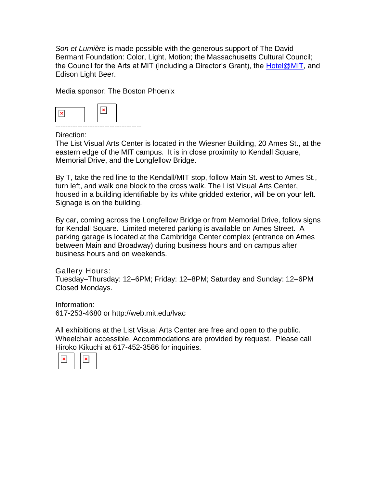*Son et Lumière* is made possible with the generous support of The David Bermant Foundation: Color, Light, Motion; the Massachusetts Cultural Council; the Council for the Arts at MIT (including a Director's Grant), the [Hotel@MIT,](mailto:Hotel@MIT) and Edison Light Beer.

Media sponsor: The Boston Phoenix



Direction:

The List Visual Arts Center is located in the Wiesner Building, 20 Ames St., at the eastern edge of the MIT campus. It is in close proximity to Kendall Square, Memorial Drive, and the Longfellow Bridge.

By T, take the red line to the Kendall/MIT stop, follow Main St. west to Ames St., turn left, and walk one block to the cross walk. The List Visual Arts Center, housed in a building identifiable by its white gridded exterior, will be on your left. Signage is on the building.

By car, coming across the Longfellow Bridge or from Memorial Drive, follow signs for Kendall Square. Limited metered parking is available on Ames Street. A parking garage is located at the Cambridge Center complex (entrance on Ames between Main and Broadway) during business hours and on campus after business hours and on weekends.

Gallery Hours: Tuesday–Thursday: 12–6PM; Friday: 12–8PM; Saturday and Sunday: 12–6PM Closed Mondays.

Information: [617-253-4680](tel:6172534680) or <http://web.mit.edu/lvac>

All exhibitions at the List Visual Arts Center are free and open to the public. Wheelchair accessible. Accommodations are provided by request. Please call Hiroko Kikuchi at [617-452-3586](tel:6174523586) for inquiries.